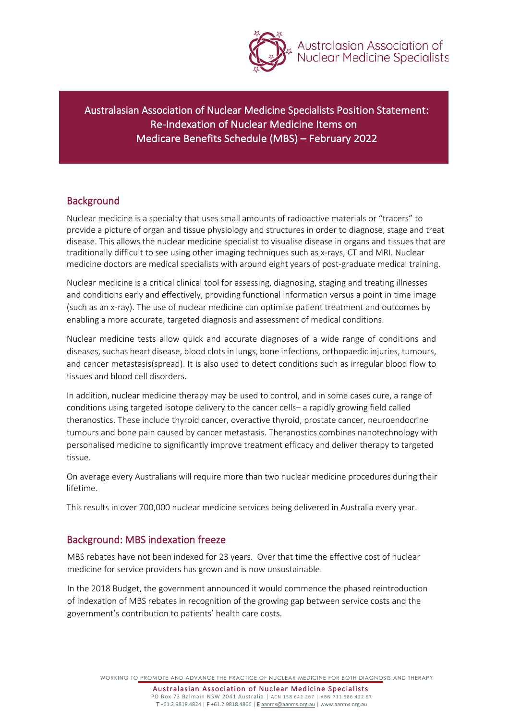

Australasian Association of<br>Nuclear Medicine Specialists

Australasian Association of Nuclear Medicine Specialists Position Statement: Re-Indexation of Nuclear Medicine Items on Medicare Benefits Schedule (MBS) – February 2022

### **Background**

Nuclear medicine is a specialty that uses small amounts of radioactive materials or "tracers" to provide a picture of organ and tissue physiology and structures in order to diagnose, stage and treat disease. This allows the nuclear medicine specialist to visualise disease in organs and tissues that are traditionally difficult to see using other imaging techniques such as x-rays, CT and MRI. Nuclear medicine doctors are medical specialists with around eight years of post-graduate medical training.

Nuclear medicine is a critical clinical tool for assessing, diagnosing, staging and treating illnesses and conditions early and effectively, providing functional information versus a point in time image (such as an x- ray). The use of nuclear medicine can optimise patient treatment and outcomes by enabling a more accurate, targeted diagnosis and assessment of medical conditions.

Nuclear medicine tests allow quick and accurate diagnoses of a wide range of conditions and diseases, suchas heart disease, blood clots in lungs, bone infections, orthopaedic injuries, tumours, and cancer metastasis(spread). It is also used to detect conditions such as irregular blood flow to tissues and blood cell disorders.

In addition, nuclear medicine therapy may be used to control, and in some cases cure, a range of conditions using targeted isotope delivery to the cancer cells– a rapidly growing field called theranostics. These include thyroid cancer, overactive thyroid, prostate cancer, neuroendocrine tumours and bone pain caused by cancer metastasis. Theranostics combines nanotechnology with personalised medicine to significantly improve treatment efficacy and deliver therapy to targeted tissue.

On average every Australians will require more than two nuclear medicine procedures during their lifetime.

This results in over 700,000 nuclear medicine services being delivered in Australia every year.

#### Background: MBS indexation freeze

MBS rebates have not been indexed for 23 years. Over that time the effective cost of nuclear medicine for service providers has grown and is now unsustainable.

In the 2018 Budget, the government announced it would commence the phased reintroduction of indexation of MBS rebates in recognition of the growing gap between service costs and the government's contribution to patients' health care costs.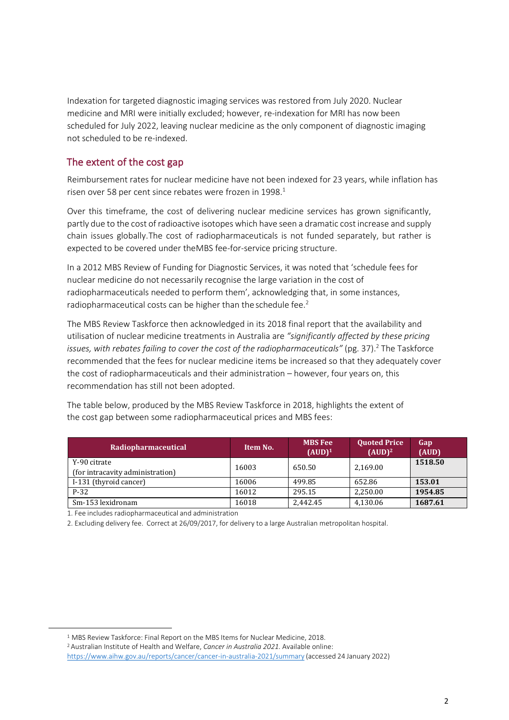Indexation for targeted diagnostic imaging services was restored from July 2020. Nuclear medicine and MRI were initially excluded; however, re-indexation for MRI has now been scheduled for July 2022, leaving nuclear medicine as the only component of diagnostic imaging not scheduled to be re-indexed.

### The extent of the cost gap

Reimbursement rates for nuclear medicine have not been indexed for 23 years, while inflation has risen over 58 per cent since rebates were frozen in 1998.<sup>1</sup>

Over this timeframe, the cost of delivering nuclear medicine services has grown significantly, partly due to the cost of radioactive isotopes which have seen a dramatic cost increase and supply chain issues globally.The cost of radiopharmaceuticals is not funded separately, but rather is expected to be covered under theMBS fee-for-service pricing structure.

In a 2012 MBS Review of Funding for Diagnostic Services, it was noted that 'schedule fees for nuclear medicine do not necessarily recognise the large variation in the cost of radiopharmaceuticals needed to perform them', acknowledging that, in some instances, radiopharmaceutical costs can be higher than the schedule fee.<sup>2</sup>

The MBS Review Taskforce then acknowledged in its 2018 final report that the availability and utilisation of nuclear medicine treatments in Australia are *"significantly affected by these pricing issues, with rebates failing to cover the cost of the radiopharmaceuticals"* (pg. 37).<sup>2</sup> The Taskforce recommended that the fees for nuclear medicine items be increased so that they adequately cover the cost of radiopharmaceuticals and their administration – however, four years on, this recommendation has still not been adopted.

The table below, produced by the MBS Review Taskforce in 2018, highlights the extent of the cost gap between some radiopharmaceutical prices and MBS fees:

| Radiopharmaceutical              | Item No. | <b>MBS</b> Fee<br>$(AUD)^1$ | <b>Quoted Price</b><br>$(AUD)^2$ | Gap<br>(AUD) |
|----------------------------------|----------|-----------------------------|----------------------------------|--------------|
| Y-90 citrate                     | 16003    | 650.50                      | 2,169.00                         | 1518.50      |
| (for intracavity administration) |          |                             |                                  |              |
| I-131 (thyroid cancer)           | 16006    | 499.85                      | 652.86                           | 153.01       |
| $P-32$                           | 16012    | 295.15                      | 2,250.00                         | 1954.85      |
| Sm-153 lexidronam                | 16018    | 2.442.45                    | 4,130.06                         | 1687.61      |

1. Fee includes radiopharmaceutical and administration

2. Excluding delivery fee. Correct at 26/09/2017, for delivery to a large Australian metropolitan hospital.

<sup>&</sup>lt;sup>1</sup> MBS Review Taskforce: Final Report on the MBS Items for Nuclear Medicine, 2018.

<sup>2</sup>Australian Institute of Health and Welfare, *Cancer in Australia 2021.* Available online:

<https://www.aihw.gov.au/reports/cancer/cancer-in-australia-2021/summary> (accessed 24 January 2022)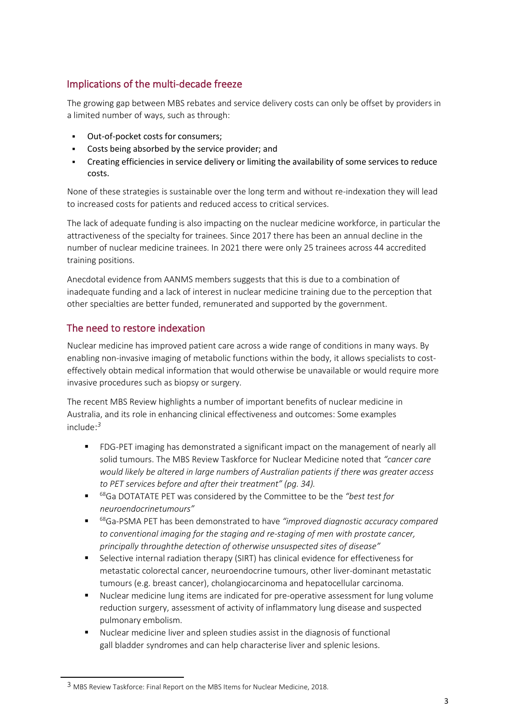# Implications of the multi-decade freeze

The growing gap between MBS rebates and service delivery costs can only be offset by providers in a limited number of ways, such as through:

- Out-of-pocket costs for consumers;
- Costs being absorbed by the service provider; and
- Creating efficiencies in service delivery or limiting the availability of some services to reduce costs.

None of these strategies is sustainable over the long term and without re-indexation they will lead to increased costs for patients and reduced access to critical services.

The lack of adequate funding is also impacting on the nuclear medicine workforce, in particular the attractiveness of the specialty for trainees. Since 2017 there has been an annual decline in the number of nuclear medicine trainees. In 2021 there were only 25 trainees across 44 accredited training positions.

Anecdotal evidence from AANMS members suggests that this is due to a combination of inadequate funding and a lack of interest in nuclear medicine training due to the perception that other specialties are better funded, remunerated and supported by the government.

# The need to restore indexation

Nuclear medicine has improved patient care across a wide range of conditions in many ways. By enabling non-invasive imaging of metabolic functions within the body, it allows specialists to costeffectively obtain medical information that would otherwise be unavailable or would require more invasive procedures such as biopsy or surgery.

The recent MBS Review highlights a number of important benefits of nuclear medicine in Australia, and its role in enhancing clinical effectiveness and outcomes: Some examples include: *3*

- FDG-PET imaging has demonstrated a significant impact on the management of nearly all solid tumours. The MBS Review Taskforce for Nuclear Medicine noted that *"cancer care would likely be altered in large numbers of Australian patients if there was greater access to PET services before and after their treatment" (pg. 34).*
- <sup>68</sup>Ga DOTATATE PET was considered by the Committee to be the *"best test for neuroendocrinetumours"*
- <sup>68</sup>Ga-PSMA PET has been demonstrated to have "improved diagnostic accuracy compared *to conventional imaging for the staging and re-staging of men with prostate cancer, principally throughthe detection of otherwise unsuspected sites of disease"*
- **Selective internal radiation therapy (SIRT) has clinical evidence for effectiveness for** metastatic colorectal cancer, neuroendocrine tumours, other liver-dominant metastatic tumours (e.g. breast cancer), cholangiocarcinoma and hepatocellular carcinoma.
- Nuclear medicine lung items are indicated for pre-operative assessment for lung volume reduction surgery, assessment of activity of inflammatory lung disease and suspected pulmonary embolism.
- Nuclear medicine liver and spleen studies assist in the diagnosis of functional gall bladder syndromes and can help characterise liver and splenic lesions.

<sup>3</sup> MBS Review Taskforce: Final Report on the MBS Items for Nuclear Medicine, 2018.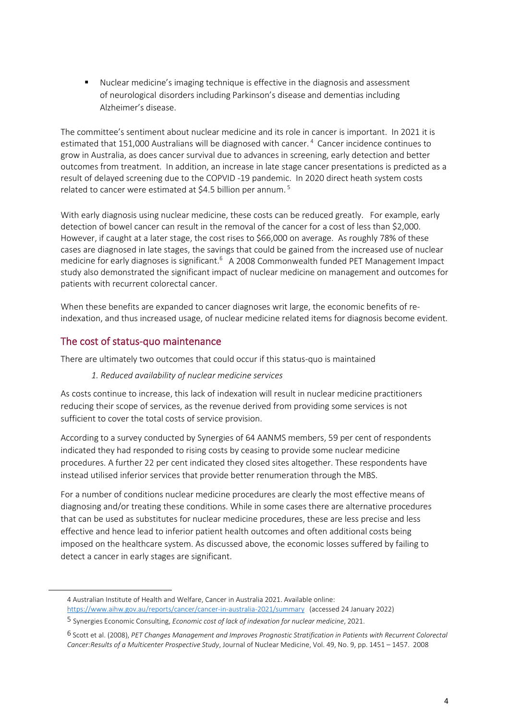Nuclear medicine's imaging technique is effective in the diagnosis and assessment of neurological disorders including Parkinson's disease and dementias including Alzheimer's disease.

The committee's sentiment about nuclear medicine and its role in cancer is important. In 2021 it is estimated that 151,000 Australians will be diagnosed with cancer.<sup>4</sup> Cancer incidence continues to grow in Australia, as does cancer survival due to advances in screening, early detection and better outcomes from treatment. In addition, an increase in late stage cancer presentations is predicted as a result of delayed screening due to the COPVID -19 pandemic. In 2020 direct heath system costs related to cancer were estimated at \$4.5 billion per annum.<sup>5</sup>

With early diagnosis using nuclear medicine, these costs can be reduced greatly. For example, early detection of bowel cancer can result in the removal of the cancer for a cost of less than \$2,000. However, if caught at a later stage, the cost rises to \$66,000 on average. As roughly 78% of these cases are diagnosed in late stages, the savings that could be gained from the increased use of nuclear medicine for early diagnoses is significant.<sup>6</sup> A 2008 Commonwealth funded PET Management Impact study also demonstrated the significant impact of nuclear medicine on management and outcomes for patients with recurrent colorectal cancer.

When these benefits are expanded to cancer diagnoses writ large, the economic benefits of reindexation, and thus increased usage, of nuclear medicine related items for diagnosis become evident.

### The cost of status-quo maintenance

There are ultimately two outcomes that could occur if this status-quo is maintained

#### *1. Reduced availability of nuclear medicine services*

As costs continue to increase, this lack of indexation will result in nuclear medicine practitioners reducing their scope of services, as the revenue derived from providing some services is not sufficient to cover the total costs of service provision.

According to a survey conducted by Synergies of 64 AANMS members, 59 per cent of respondents indicated they had responded to rising costs by ceasing to provide some nuclear medicine procedures. A further 22 per cent indicated they closed sites altogether. These respondents have instead utilised inferior services that provide better renumeration through the MBS.

For a number of conditions nuclear medicine procedures are clearly the most effective means of diagnosing and/or treating these conditions. While in some cases there are alternative procedures that can be used as substitutes for nuclear medicine procedures, these are less precise and less effective and hence lead to inferior patient health outcomes and often additional costs being imposed on the healthcare system. As discussed above, the economic losses suffered by failing to detect a cancer in early stages are significant.

<sup>4</sup> Australian Institute of Health and Welfare, Cancer in Australia 2021. Available online[:](https://www.aihw.gov.au/reports/cancer/cancer-in-australia-2021/summary)  <https://www.aihw.gov.au/reports/cancer/cancer-in-australia-2021/summary>(accessed 24 January 2022)

<sup>5</sup> Synergies Economic Consulting, *Economic cost of lack of indexation for nuclear medicine*, 2021.

<sup>6</sup> Scott et al. (2008), *PET Changes Management and Improves Prognostic Stratification in Patients with Recurrent Colorectal Cancer: Results of a Multicenter Prospective Study*, Journal of Nuclear Medicine, Vol. 49, No. 9, pp. 1451 – 1457. 2008